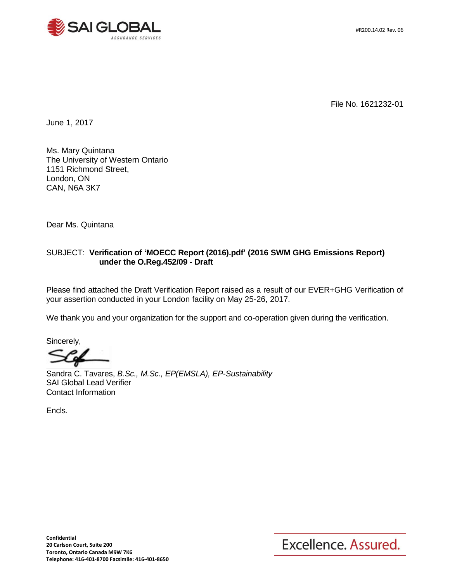



File No. 1621232-01

June 1, 2017

Ms. Mary Quintana The University of Western Ontario 1151 Richmond Street, London, ON CAN, N6A 3K7

Dear Ms. Quintana

#### SUBJECT: **Verification of 'MOECC Report (2016).pdf' (2016 SWM GHG Emissions Report) under the O.Reg.452/09 - Draft**

Please find attached the Draft Verification Report raised as a result of our EVER+GHG Verification of your assertion conducted in your London facility on May 25-26, 2017.

We thank you and your organization for the support and co-operation given during the verification.

Sincerely,

Sandra C. Tavares, *B.Sc., M.Sc., EP(EMSLA), EP-Sustainability* SAI Global Lead Verifier Contact Information

Encls.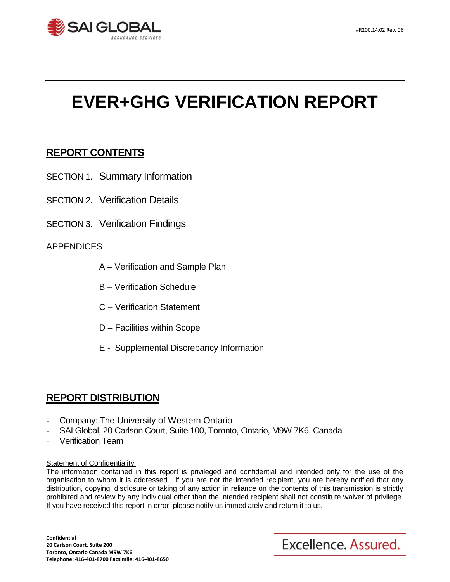

# **EVER+GHG VERIFICATION REPORT**

# **REPORT CONTENTS**

- SECTION 1. Summary Information
- SECTION 2. Verification Details
- SECTION 3. Verification Findings

## APPENDICES

- A Verification and Sample Plan
- B Verification Schedule
- C Verification Statement
- D Facilities within Scope
- E Supplemental Discrepancy Information

# **REPORT DISTRIBUTION**

- Company: The University of Western Ontario
- SAI Global, 20 Carlson Court, Suite 100, Toronto, Ontario, M9W 7K6, Canada
- Verification Team

Statement of Confidentiality:

The information contained in this report is privileged and confidential and intended only for the use of the organisation to whom it is addressed. If you are not the intended recipient, you are hereby notified that any distribution, copying, disclosure or taking of any action in reliance on the contents of this transmission is strictly prohibited and review by any individual other than the intended recipient shall not constitute waiver of privilege. If you have received this report in error, please notify us immediately and return it to us.

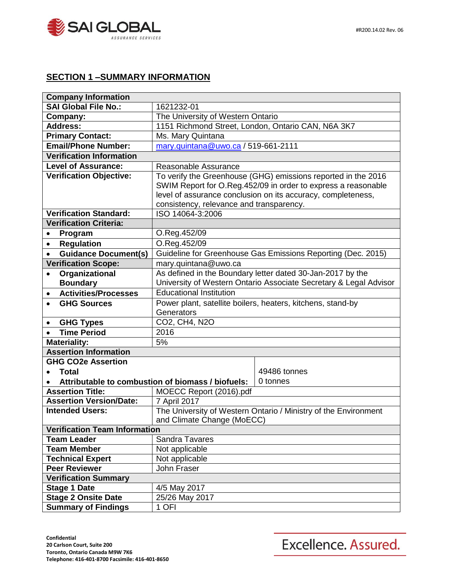

## **SECTION 1 –SUMMARY INFORMATION**

| <b>Company Information</b>               |                                                                   |                                                              |  |  |  |
|------------------------------------------|-------------------------------------------------------------------|--------------------------------------------------------------|--|--|--|
| SAI Global File No.:                     | 1621232-01                                                        |                                                              |  |  |  |
| Company:                                 | The University of Western Ontario                                 |                                                              |  |  |  |
| <b>Address:</b>                          | 1151 Richmond Street, London, Ontario CAN, N6A 3K7                |                                                              |  |  |  |
| <b>Primary Contact:</b>                  | Ms. Mary Quintana                                                 |                                                              |  |  |  |
| <b>Email/Phone Number:</b>               | mary.quintana@uwo.ca / 519-661-2111                               |                                                              |  |  |  |
| <b>Verification Information</b>          |                                                                   |                                                              |  |  |  |
| <b>Level of Assurance:</b>               | Reasonable Assurance                                              |                                                              |  |  |  |
| <b>Verification Objective:</b>           | To verify the Greenhouse (GHG) emissions reported in the 2016     |                                                              |  |  |  |
|                                          | SWIM Report for O.Reg.452/09 in order to express a reasonable     |                                                              |  |  |  |
|                                          |                                                                   | level of assurance conclusion on its accuracy, completeness, |  |  |  |
|                                          | consistency, relevance and transparency.                          |                                                              |  |  |  |
| <b>Verification Standard:</b>            | ISO 14064-3:2006                                                  |                                                              |  |  |  |
| <b>Verification Criteria:</b>            |                                                                   |                                                              |  |  |  |
| Program<br>$\bullet$                     | O.Reg.452/09                                                      |                                                              |  |  |  |
| <b>Regulation</b><br>$\bullet$           | O.Reg.452/09                                                      |                                                              |  |  |  |
| <b>Guidance Document(s)</b>              | Guideline for Greenhouse Gas Emissions Reporting (Dec. 2015)      |                                                              |  |  |  |
| <b>Verification Scope:</b>               | mary.quintana@uwo.ca                                              |                                                              |  |  |  |
| Organizational                           | As defined in the Boundary letter dated 30-Jan-2017 by the        |                                                              |  |  |  |
| <b>Boundary</b>                          | University of Western Ontario Associate Secretary & Legal Advisor |                                                              |  |  |  |
| <b>Activities/Processes</b><br>$\bullet$ | <b>Educational Institution</b>                                    |                                                              |  |  |  |
| <b>GHG Sources</b>                       | Power plant, satellite boilers, heaters, kitchens, stand-by       |                                                              |  |  |  |
|                                          | Generators                                                        |                                                              |  |  |  |
| <b>GHG Types</b><br>$\bullet$            | CO2, CH4, N2O                                                     |                                                              |  |  |  |
| <b>Time Period</b><br>$\bullet$          | 2016                                                              |                                                              |  |  |  |
| <b>Materiality:</b>                      | 5%                                                                |                                                              |  |  |  |
| <b>Assertion Information</b>             |                                                                   |                                                              |  |  |  |
| <b>GHG CO2e Assertion</b>                |                                                                   |                                                              |  |  |  |
| <b>Total</b>                             |                                                                   | 49486 tonnes                                                 |  |  |  |
|                                          | Attributable to combustion of biomass / biofuels:                 | 0 tonnes                                                     |  |  |  |
| <b>Assertion Title:</b>                  | MOECC Report (2016).pdf                                           |                                                              |  |  |  |
| <b>Assertion Version/Date:</b>           | 7 April 2017                                                      |                                                              |  |  |  |
| <b>Intended Users:</b>                   | The University of Western Ontario / Ministry of the Environment   |                                                              |  |  |  |
|                                          | and Climate Change (MoECC)                                        |                                                              |  |  |  |
| <b>Verification Team Information</b>     |                                                                   |                                                              |  |  |  |
| <b>Team Leader</b>                       | <b>Sandra Tavares</b>                                             |                                                              |  |  |  |
| <b>Team Member</b>                       | Not applicable                                                    |                                                              |  |  |  |
| <b>Technical Expert</b>                  | Not applicable                                                    |                                                              |  |  |  |
| <b>Peer Reviewer</b>                     | John Fraser                                                       |                                                              |  |  |  |
| <b>Verification Summary</b>              |                                                                   |                                                              |  |  |  |
| <b>Stage 1 Date</b>                      | 4/5 May 2017                                                      |                                                              |  |  |  |
| <b>Stage 2 Onsite Date</b>               | 25/26 May 2017                                                    |                                                              |  |  |  |
| <b>Summary of Findings</b>               | 1 OFI                                                             |                                                              |  |  |  |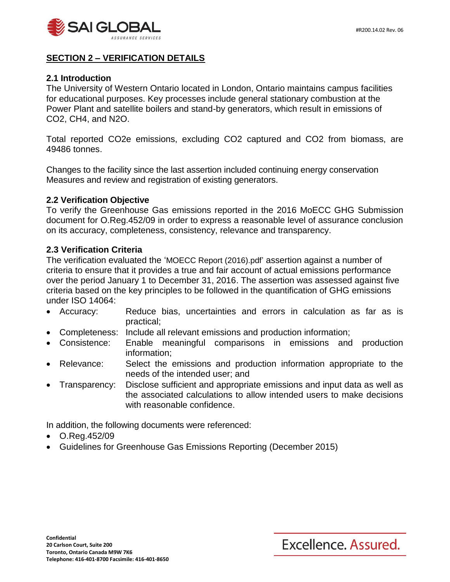

### **SECTION 2 – VERIFICATION DETAILS**

#### **2.1 Introduction**

The University of Western Ontario located in London, Ontario maintains campus facilities for educational purposes. Key processes include general stationary combustion at the Power Plant and satellite boilers and stand-by generators, which result in emissions of CO2, CH4, and N2O.

Total reported CO2e emissions, excluding CO2 captured and CO2 from biomass, are 49486 tonnes.

Changes to the facility since the last assertion included continuing energy conservation Measures and review and registration of existing generators.

#### **2.2 Verification Objective**

To verify the Greenhouse Gas emissions reported in the 2016 MoECC GHG Submission document for O.Reg.452/09 in order to express a reasonable level of assurance conclusion on its accuracy, completeness, consistency, relevance and transparency.

#### **2.3 Verification Criteria**

The verification evaluated the 'MOECC Report (2016).pdf' assertion against a number of criteria to ensure that it provides a true and fair account of actual emissions performance over the period January 1 to December 31, 2016. The assertion was assessed against five criteria based on the key principles to be followed in the quantification of GHG emissions under ISO 14064:

- Accuracy: Reduce bias, uncertainties and errors in calculation as far as is practical;
- Completeness: Include all relevant emissions and production information;
- Consistence: Enable meaningful comparisons in emissions and production information;
- Relevance: Select the emissions and production information appropriate to the needs of the intended user; and
- Transparency: Disclose sufficient and appropriate emissions and input data as well as the associated calculations to allow intended users to make decisions with reasonable confidence.

In addition, the following documents were referenced:

- O.Reg.452/09
- Guidelines for Greenhouse Gas Emissions Reporting (December 2015)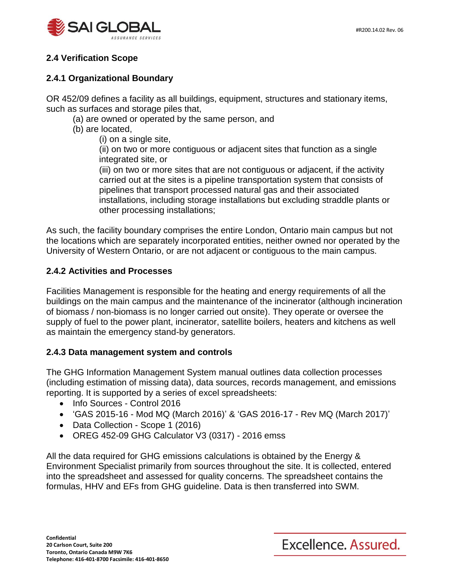

## **2.4 Verification Scope**

## **2.4.1 Organizational Boundary**

OR 452/09 defines a facility as all buildings, equipment, structures and stationary items, such as surfaces and storage piles that,

(a) are owned or operated by the same person, and

- (b) are located,
	- (i) on a single site,

(ii) on two or more contiguous or adjacent sites that function as a single integrated site, or

(iii) on two or more sites that are not contiguous or adjacent, if the activity carried out at the sites is a pipeline transportation system that consists of pipelines that transport processed natural gas and their associated installations, including storage installations but excluding straddle plants or other processing installations;

As such, the facility boundary comprises the entire London, Ontario main campus but not the locations which are separately incorporated entities, neither owned nor operated by the University of Western Ontario, or are not adjacent or contiguous to the main campus.

## **2.4.2 Activities and Processes**

Facilities Management is responsible for the heating and energy requirements of all the buildings on the main campus and the maintenance of the incinerator (although incineration of biomass / non-biomass is no longer carried out onsite). They operate or oversee the supply of fuel to the power plant, incinerator, satellite boilers, heaters and kitchens as well as maintain the emergency stand-by generators.

## **2.4.3 Data management system and controls**

The GHG Information Management System manual outlines data collection processes (including estimation of missing data), data sources, records management, and emissions reporting. It is supported by a series of excel spreadsheets:

- Info Sources Control 2016
- 'GAS 2015-16 Mod MQ (March 2016)' & 'GAS 2016-17 Rev MQ (March 2017)'
- Data Collection Scope 1 (2016)
- OREG 452-09 GHG Calculator V3 (0317) 2016 emss

All the data required for GHG emissions calculations is obtained by the Energy & Environment Specialist primarily from sources throughout the site. It is collected, entered into the spreadsheet and assessed for quality concerns. The spreadsheet contains the formulas, HHV and EFs from GHG guideline. Data is then transferred into SWM.

Excellence. Assured.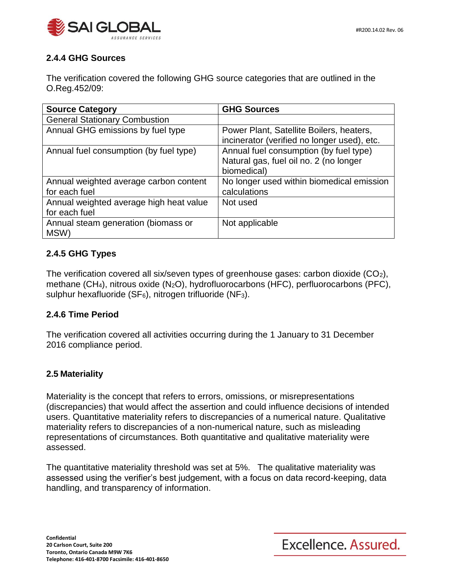

## **2.4.4 GHG Sources**

The verification covered the following GHG source categories that are outlined in the O.Reg.452/09:

| <b>Source Category</b>                  | <b>GHG Sources</b>                          |
|-----------------------------------------|---------------------------------------------|
| <b>General Stationary Combustion</b>    |                                             |
| Annual GHG emissions by fuel type       | Power Plant, Satellite Boilers, heaters,    |
|                                         | incinerator (verified no longer used), etc. |
| Annual fuel consumption (by fuel type)  | Annual fuel consumption (by fuel type)      |
|                                         | Natural gas, fuel oil no. 2 (no longer      |
|                                         | biomedical)                                 |
| Annual weighted average carbon content  | No longer used within biomedical emission   |
| for each fuel                           | calculations                                |
| Annual weighted average high heat value | Not used                                    |
| for each fuel                           |                                             |
| Annual steam generation (biomass or     | Not applicable                              |
| MSW)                                    |                                             |

## **2.4.5 GHG Types**

The verification covered all six/seven types of greenhouse gases: carbon dioxide  $(CO_2)$ , methane (CH4), nitrous oxide (N2O), hydrofluorocarbons (HFC), perfluorocarbons (PFC), sulphur hexafluoride ( $SF_6$ ), nitrogen trifluoride ( $NF_3$ ).

### **2.4.6 Time Period**

The verification covered all activities occurring during the 1 January to 31 December 2016 compliance period.

### **2.5 Materiality**

Materiality is the concept that refers to errors, omissions, or misrepresentations (discrepancies) that would affect the assertion and could influence decisions of intended users. Quantitative materiality refers to discrepancies of a numerical nature. Qualitative materiality refers to discrepancies of a non-numerical nature, such as misleading representations of circumstances. Both quantitative and qualitative materiality were assessed.

The quantitative materiality threshold was set at 5%. The qualitative materiality was assessed using the verifier's best judgement, with a focus on data record-keeping, data handling, and transparency of information.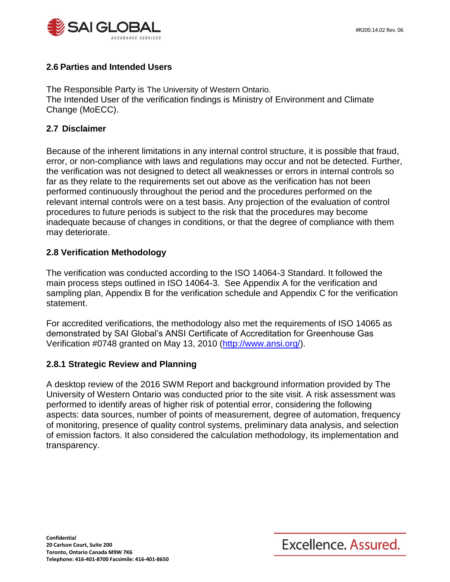

## **2.6 Parties and Intended Users**

The Responsible Party is The University of Western Ontario. The Intended User of the verification findings is Ministry of Environment and Climate Change (MoECC).

#### **2.7 Disclaimer**

Because of the inherent limitations in any internal control structure, it is possible that fraud, error, or non-compliance with laws and regulations may occur and not be detected. Further, the verification was not designed to detect all weaknesses or errors in internal controls so far as they relate to the requirements set out above as the verification has not been performed continuously throughout the period and the procedures performed on the relevant internal controls were on a test basis. Any projection of the evaluation of control procedures to future periods is subject to the risk that the procedures may become inadequate because of changes in conditions, or that the degree of compliance with them may deteriorate.

### **2.8 Verification Methodology**

The verification was conducted according to the ISO 14064-3 Standard. It followed the main process steps outlined in ISO 14064-3. See Appendix A for the verification and sampling plan, Appendix B for the verification schedule and Appendix C for the verification statement.

For accredited verifications, the methodology also met the requirements of ISO 14065 as demonstrated by SAI Global's ANSI Certificate of Accreditation for Greenhouse Gas Verification #0748 granted on May 13, 2010 [\(http://www.ansi.org/\)](http://www.ansi.org/).

### **2.8.1 Strategic Review and Planning**

A desktop review of the 2016 SWM Report and background information provided by The University of Western Ontario was conducted prior to the site visit. A risk assessment was performed to identify areas of higher risk of potential error, considering the following aspects: data sources, number of points of measurement, degree of automation, frequency of monitoring, presence of quality control systems, preliminary data analysis, and selection of emission factors. It also considered the calculation methodology, its implementation and transparency.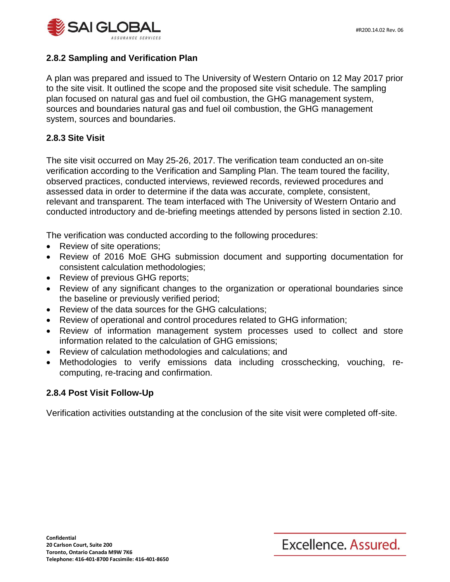

## **2.8.2 Sampling and Verification Plan**

A plan was prepared and issued to The University of Western Ontario on 12 May 2017 prior to the site visit. It outlined the scope and the proposed site visit schedule. The sampling plan focused on natural gas and fuel oil combustion, the GHG management system, sources and boundaries natural gas and fuel oil combustion, the GHG management system, sources and boundaries.

## **2.8.3 Site Visit**

The site visit occurred on May 25-26, 2017. The verification team conducted an on-site verification according to the Verification and Sampling Plan. The team toured the facility, observed practices, conducted interviews, reviewed records, reviewed procedures and assessed data in order to determine if the data was accurate, complete, consistent, relevant and transparent. The team interfaced with The University of Western Ontario and conducted introductory and de-briefing meetings attended by persons listed in section 2.10.

The verification was conducted according to the following procedures:

- Review of site operations;
- Review of 2016 MoE GHG submission document and supporting documentation for consistent calculation methodologies;
- Review of previous GHG reports;
- Review of any significant changes to the organization or operational boundaries since the baseline or previously verified period;
- Review of the data sources for the GHG calculations;
- Review of operational and control procedures related to GHG information;
- Review of information management system processes used to collect and store information related to the calculation of GHG emissions;
- Review of calculation methodologies and calculations; and
- Methodologies to verify emissions data including crosschecking, vouching, recomputing, re-tracing and confirmation.

### **2.8.4 Post Visit Follow-Up**

Verification activities outstanding at the conclusion of the site visit were completed off-site.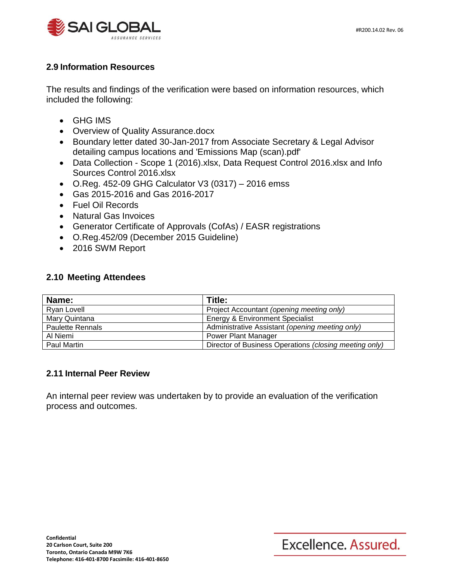

## **2.9 Information Resources**

The results and findings of the verification were based on information resources, which included the following:

- GHG IMS
- Overview of Quality Assurance.docx
- Boundary letter dated 30-Jan-2017 from Associate Secretary & Legal Advisor detailing campus locations and 'Emissions Map (scan).pdf'
- Data Collection Scope 1 (2016).xlsx, Data Request Control 2016.xlsx and Info Sources Control 2016.xlsx
- O.Reg. 452-09 GHG Calculator V3 (0317) 2016 emss
- Gas 2015-2016 and Gas 2016-2017
- Fuel Oil Records
- Natural Gas Invoices
- Generator Certificate of Approvals (CofAs) / EASR registrations
- O.Reg.452/09 (December 2015 Guideline)
- 2016 SWM Report

#### **2.10 Meeting Attendees**

| Name:                   | Title:                                                 |
|-------------------------|--------------------------------------------------------|
| Ryan Lovell             | Project Accountant (opening meeting only)              |
| Mary Quintana           | <b>Energy &amp; Environment Specialist</b>             |
| <b>Paulette Rennals</b> | Administrative Assistant (opening meeting only)        |
| Al Niemi                | <b>Power Plant Manager</b>                             |
| Paul Martin             | Director of Business Operations (closing meeting only) |

### **2.11 Internal Peer Review**

An internal peer review was undertaken by to provide an evaluation of the verification process and outcomes.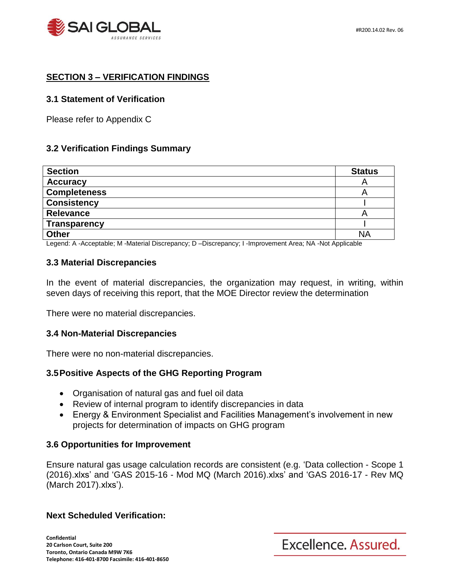

## **SECTION 3 – VERIFICATION FINDINGS**

#### **3.1 Statement of Verification**

Please refer to Appendix C

#### **3.2 Verification Findings Summary**

| <b>Section</b>      | <b>Status</b> |
|---------------------|---------------|
| <b>Accuracy</b>     | ┍             |
| <b>Completeness</b> | ⊢             |
| <b>Consistency</b>  |               |
| Relevance           |               |
| <b>Transparency</b> |               |
| <b>Other</b>        | <b>NA</b>     |

Legend: A -Acceptable; M -Material Discrepancy; D –Discrepancy; I -Improvement Area; NA -Not Applicable

#### **3.3 Material Discrepancies**

In the event of material discrepancies, the organization may request, in writing, within seven days of receiving this report, that the MOE Director review the determination

There were no material discrepancies.

#### **3.4 Non-Material Discrepancies**

There were no non-material discrepancies.

#### **3.5Positive Aspects of the GHG Reporting Program**

- Organisation of natural gas and fuel oil data
- Review of internal program to identify discrepancies in data
- Energy & Environment Specialist and Facilities Management's involvement in new projects for determination of impacts on GHG program

#### **3.6 Opportunities for Improvement**

Ensure natural gas usage calculation records are consistent (e.g. 'Data collection - Scope 1 (2016).xlxs' and 'GAS 2015-16 - Mod MQ (March 2016).xlxs' and 'GAS 2016-17 - Rev MQ (March 2017).xlxs').

#### **Next Scheduled Verification:**

**Confidential 20 Carlson Court, Suite 200 Toronto, Ontario Canada M9W 7K6 Telephone: 416-401-8700 Facsimile: 416-401-8650**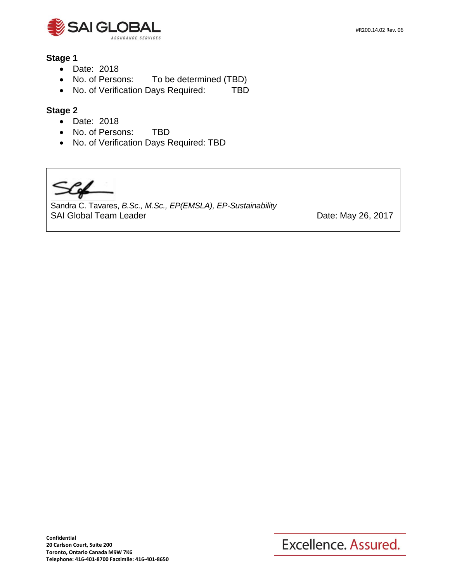

#### **Stage 1**

- Date: 2018
- No. of Persons: To be determined (TBD)
- No. of Verification Days Required: TBD

## **Stage 2**

- Date: 2018
- No. of Persons: TBD
- No. of Verification Days Required: TBD

Sandra C. Tavares, *B.Sc., M.Sc., EP(EMSLA), EP-Sustainability* SAI Global Team Leader **Date:** May 26, 2017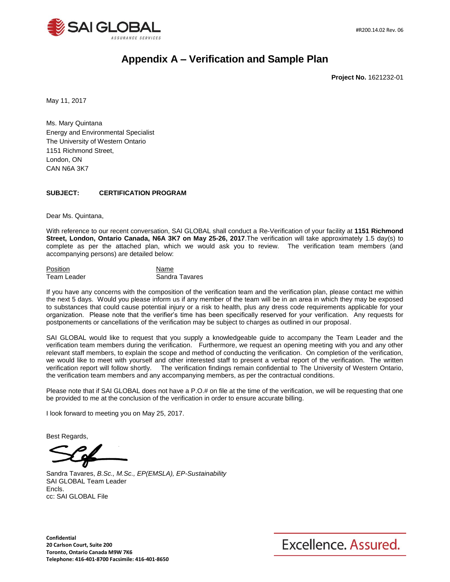

# **Appendix A – Verification and Sample Plan**

**Project No.** 1621232-01

May 11, 2017

Ms. Mary Quintana Energy and Environmental Specialist The University of Western Ontario 1151 Richmond Street, London, ON CAN N6A 3K7

#### **SUBJECT: CERTIFICATION PROGRAM**

Dear Ms. Quintana,

With reference to our recent conversation, SAI GLOBAL shall conduct a Re-Verification of your facility at **1151 Richmond Street, London, Ontario Canada, N6A 3K7 on May 25-26, 2017**.The verification will take approximately 1.5 day(s) to complete as per the attached plan, which we would ask you to review. The verification team members (and accompanying persons) are detailed below:

Position Name Team Leader Sandra Tavares

If you have any concerns with the composition of the verification team and the verification plan, please contact me within the next 5 days. Would you please inform us if any member of the team will be in an area in which they may be exposed to substances that could cause potential injury or a risk to health, plus any dress code requirements applicable for your organization. Please note that the verifier's time has been specifically reserved for your verification. Any requests for postponements or cancellations of the verification may be subject to charges as outlined in our proposal.

SAI GLOBAL would like to request that you supply a knowledgeable guide to accompany the Team Leader and the verification team members during the verification. Furthermore, we request an opening meeting with you and any other relevant staff members, to explain the scope and method of conducting the verification. On completion of the verification, we would like to meet with yourself and other interested staff to present a verbal report of the verification. The written verification report will follow shortly. The verification findings remain confidential to The University of Western Ontario, the verification team members and any accompanying members, as per the contractual conditions.

Please note that if SAI GLOBAL does not have a P.O.# on file at the time of the verification, we will be requesting that one be provided to me at the conclusion of the verification in order to ensure accurate billing.

I look forward to meeting you on May 25, 2017.

Best Regards,

Sandra Tavares, *B.Sc., M.Sc., EP(EMSLA), EP-Sustainability* SAI GLOBAL Team Leader Encls. cc: SAI GLOBAL File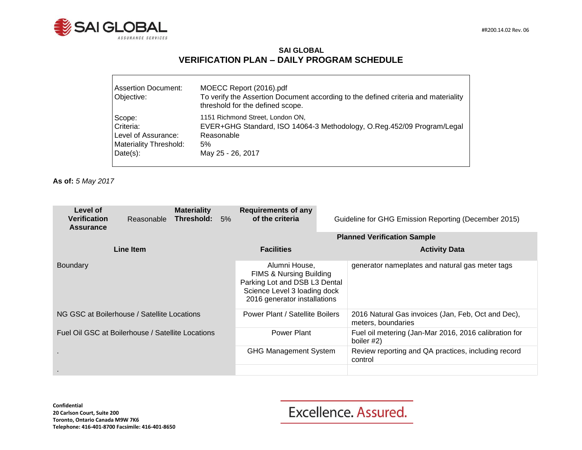

#### **SAI GLOBAL VERIFICATION PLAN – DAILY PROGRAM SCHEDULE**

| Assertion Document:<br>Objective: | MOECC Report (2016).pdf<br>To verify the Assertion Document according to the defined criteria and materiality<br>threshold for the defined scope. |
|-----------------------------------|---------------------------------------------------------------------------------------------------------------------------------------------------|
| Scope:                            | 1151 Richmond Street, London ON,                                                                                                                  |
| Criteria:                         | EVER+GHG Standard, ISO 14064-3 Methodology, O.Reg.452/09 Program/Legal                                                                            |
| Level of Assurance:               | Reasonable                                                                                                                                        |
| Materiality Threshold:            | 5%                                                                                                                                                |
| $Date(s)$ :                       | May 25 - 26, 2017                                                                                                                                 |

**As of:** *5 May 2017*

| Level of<br><b>Verification</b><br><b>Assurance</b> | Reasonable | <b>Materiality</b><br>Threshold:                                                                                                          | 5%                           | <b>Requirements of any</b><br>of the criteria   | Guideline for GHG Emission Reporting (December 2015)                |                                                                          |
|-----------------------------------------------------|------------|-------------------------------------------------------------------------------------------------------------------------------------------|------------------------------|-------------------------------------------------|---------------------------------------------------------------------|--------------------------------------------------------------------------|
|                                                     |            |                                                                                                                                           |                              | <b>Planned Verification Sample</b>              |                                                                     |                                                                          |
|                                                     | Line Item  |                                                                                                                                           |                              | <b>Facilities</b>                               |                                                                     | <b>Activity Data</b>                                                     |
| <b>Boundary</b>                                     |            | Alumni House.<br>FIMS & Nursing Building<br>Parking Lot and DSB L3 Dental<br>Science Level 3 loading dock<br>2016 generator installations |                              | generator nameplates and natural gas meter tags |                                                                     |                                                                          |
| NG GSC at Boilerhouse / Satellite Locations         |            |                                                                                                                                           |                              | Power Plant / Satellite Boilers                 |                                                                     | 2016 Natural Gas invoices (Jan, Feb, Oct and Dec),<br>meters, boundaries |
| Fuel Oil GSC at Boilerhouse / Satellite Locations   |            |                                                                                                                                           | Power Plant                  |                                                 | Fuel oil metering (Jan-Mar 2016, 2016 calibration for<br>boiler #2) |                                                                          |
|                                                     |            |                                                                                                                                           | <b>GHG Management System</b> |                                                 | Review reporting and QA practices, including record<br>control      |                                                                          |
|                                                     |            |                                                                                                                                           |                              |                                                 |                                                                     |                                                                          |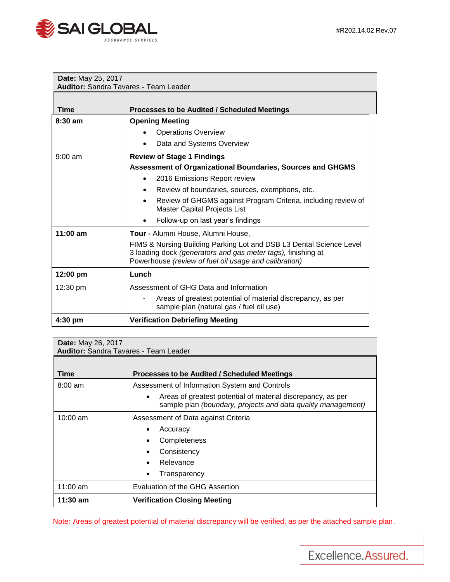

| Date: May 25, 2017                           |                                                                                                                                                                                              |  |  |  |  |  |
|----------------------------------------------|----------------------------------------------------------------------------------------------------------------------------------------------------------------------------------------------|--|--|--|--|--|
| <b>Auditor: Sandra Tavares - Team Leader</b> |                                                                                                                                                                                              |  |  |  |  |  |
| <b>Time</b>                                  | Processes to be Audited / Scheduled Meetings                                                                                                                                                 |  |  |  |  |  |
| $8:30$ am                                    | <b>Opening Meeting</b>                                                                                                                                                                       |  |  |  |  |  |
|                                              | <b>Operations Overview</b>                                                                                                                                                                   |  |  |  |  |  |
|                                              | Data and Systems Overview                                                                                                                                                                    |  |  |  |  |  |
| $9:00$ am                                    | <b>Review of Stage 1 Findings</b>                                                                                                                                                            |  |  |  |  |  |
|                                              | Assessment of Organizational Boundaries, Sources and GHGMS                                                                                                                                   |  |  |  |  |  |
|                                              | 2016 Emissions Report review<br>$\bullet$                                                                                                                                                    |  |  |  |  |  |
|                                              | Review of boundaries, sources, exemptions, etc.<br>$\bullet$                                                                                                                                 |  |  |  |  |  |
|                                              | Review of GHGMS against Program Criteria, including review of<br>$\bullet$<br><b>Master Capital Projects List</b>                                                                            |  |  |  |  |  |
|                                              | Follow-up on last year's findings                                                                                                                                                            |  |  |  |  |  |
| $11:00$ am                                   | Tour - Alumni House, Alumni House,                                                                                                                                                           |  |  |  |  |  |
|                                              | FIMS & Nursing Building Parking Lot and DSB L3 Dental Science Level<br>3 loading dock (generators and gas meter tags), finishing at<br>Powerhouse (review of fuel oil usage and calibration) |  |  |  |  |  |
| 12:00 pm                                     | Lunch                                                                                                                                                                                        |  |  |  |  |  |
| $12:30 \text{ pm}$                           | Assessment of GHG Data and Information                                                                                                                                                       |  |  |  |  |  |
|                                              | Areas of greatest potential of material discrepancy, as per<br>sample plan (natural gas / fuel oil use)                                                                                      |  |  |  |  |  |
| 4:30 pm                                      | <b>Verification Debriefing Meeting</b>                                                                                                                                                       |  |  |  |  |  |

| <b>Date:</b> May 26, 2017<br><b>Auditor:</b> Sandra Tavares - Team Leader |                                                                                                                                          |  |  |  |
|---------------------------------------------------------------------------|------------------------------------------------------------------------------------------------------------------------------------------|--|--|--|
|                                                                           |                                                                                                                                          |  |  |  |
| Time                                                                      | <b>Processes to be Audited / Scheduled Meetings</b>                                                                                      |  |  |  |
| $8:00 \text{ am}$                                                         | Assessment of Information System and Controls                                                                                            |  |  |  |
|                                                                           | Areas of greatest potential of material discrepancy, as per<br>$\bullet$<br>sample plan (boundary, projects and data quality management) |  |  |  |
| $10:00$ am                                                                | Assessment of Data against Criteria                                                                                                      |  |  |  |
|                                                                           | Accuracy<br>٠                                                                                                                            |  |  |  |
|                                                                           | Completeness                                                                                                                             |  |  |  |
|                                                                           | Consistency                                                                                                                              |  |  |  |
|                                                                           | Relevance                                                                                                                                |  |  |  |
|                                                                           | Transparency                                                                                                                             |  |  |  |
| 11:00 $am$                                                                | Evaluation of the GHG Assertion                                                                                                          |  |  |  |
| 11:30 am                                                                  | <b>Verification Closing Meeting</b>                                                                                                      |  |  |  |

Note: Areas of greatest potential of material discrepancy will be verified, as per the attached sample plan.